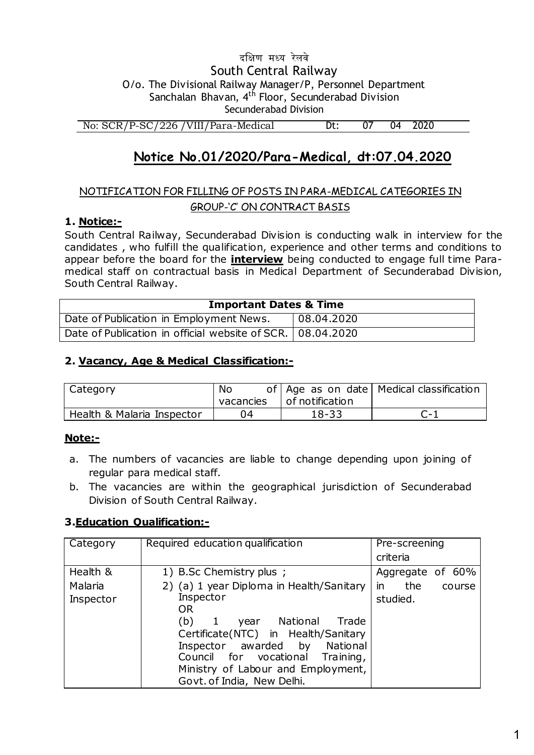## दक्षिण मध्य रेलवे South Central Railway O/o. The Divisional Railway Manager/P, Personnel Department Sanchalan Bhavan, 4<sup>th</sup> Floor, Secunderabad Division Secunderabad Division

No: SCR/P-SC/226 / VIII/Para-Medical  $Dt:$  $07$  $04$ 2020

# Notice No.01/2020/Para-Medical, dt:07.04.2020

## NOTIFICATION FOR FILLING OF POSTS IN PARA-MEDICAL CATEGORIES IN **GROUP-'C' ON CONTRACT BASIS**

## 1. Notice:-

South Central Railway, Secunderabad Division is conducting walk in interview for the candidates, who fulfill the qualification, experience and other terms and conditions to appear before the board for the *interview* being conducted to engage full time Paramedical staff on contractual basis in Medical Department of Secunderabad Division, South Central Railway.

| <b>Important Dates &amp; Time</b>                            |            |  |  |  |
|--------------------------------------------------------------|------------|--|--|--|
| Date of Publication in Employment News.                      | 08.04.2020 |  |  |  |
| Date of Publication in official website of SCR.   08.04.2020 |            |  |  |  |

## 2. Vacancy, Age & Medical Classification:-

| Category                   | No        |                 | of   Age as on date   Medical classification |
|----------------------------|-----------|-----------------|----------------------------------------------|
|                            | vacancies | of notification |                                              |
| Health & Malaria Inspector | 04        | 18-33           | ี − 1                                        |

## Note:-

- a. The numbers of vacancies are liable to change depending upon joining of regular para medical staff.
- b. The vacancies are within the geographical jurisdiction of Secunderabad Division of South Central Railway.

## 3. Education Qualification:-

| Category  | Required education qualification                                             | Pre-screening       |  |  |
|-----------|------------------------------------------------------------------------------|---------------------|--|--|
|           |                                                                              | criteria            |  |  |
| Health &  | 1) B.Sc Chemistry plus;                                                      | Aggregate of 60%    |  |  |
| Malaria   | 2) (a) 1 year Diploma in Health/Sanitary                                     | in<br>the<br>course |  |  |
| Inspector | Inspector<br><b>OR</b>                                                       | studied.            |  |  |
|           | (b)<br>National<br>Trade<br>1<br>year<br>Certificate(NTC) in Health/Sanitary |                     |  |  |
|           | Inspector awarded by<br>National<br>Council for vocational Training,         |                     |  |  |
|           | Ministry of Labour and Employment,                                           |                     |  |  |
|           | Govt. of India, New Delhi.                                                   |                     |  |  |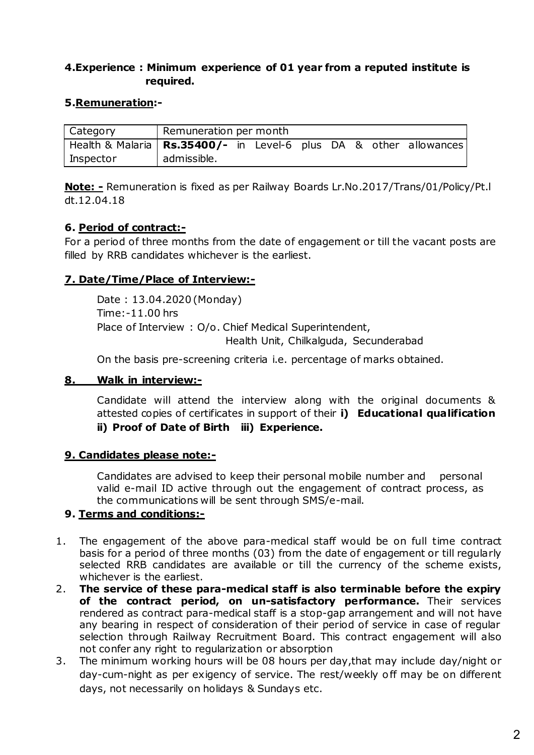## 4. Experience: Minimum experience of 01 year from a reputed institute is required.

#### 5.Remuneration:-

| Category                                                            | Remuneration per month |  |  |  |  |
|---------------------------------------------------------------------|------------------------|--|--|--|--|
| Health & Malaria   Rs.35400/- in Level-6 plus DA & other allowances |                        |  |  |  |  |
| Inspector                                                           | admissible.            |  |  |  |  |

**Note:** - Remuneration is fixed as per Railway Boards Lr.No.2017/Trans/01/Policy/Pt.I dt.12.04.18

#### 6. Period of contract:-

For a period of three months from the date of engagement or till the vacant posts are filled by RRB candidates whichever is the earliest.

## 7. Date/Time/Place of Interview:-

Date: 13.04.2020 (Monday) Time: -11.00 hrs Place of Interview : O/o. Chief Medical Superintendent, Health Unit, Chilkalguda, Secunderabad

On the basis pre-screening criteria i.e. percentage of marks obtained.

#### 8. Walk in interview:-

Candidate will attend the interview along with the original documents & attested copies of certificates in support of their i) Educational qualification ii) Proof of Date of Birth iii) Experience.

#### 9. Candidates please note:-

Candidates are advised to keep their personal mobile number and personal valid e-mail ID active through out the engagement of contract process, as the communications will be sent through SMS/e-mail.

#### 9. Terms and conditions:-

- The engagement of the above para-medical staff would be on full time contract 1. basis for a period of three months (03) from the date of engagement or till regularly selected RRB candidates are available or till the currency of the scheme exists, whichever is the earliest.
- The service of these para-medical staff is also terminable before the expiry  $2.$ of the contract period, on un-satisfactory performance. Their services rendered as contract para-medical staff is a stop-gap arrangement and will not have any bearing in respect of consideration of their period of service in case of regular selection through Railway Recruitment Board. This contract engagement will also not confer any right to regularization or absorption
- 3. The minimum working hours will be 08 hours per day, that may include day/night or day-cum-night as per exigency of service. The rest/weekly off may be on different days, not necessarily on holidays & Sundays etc.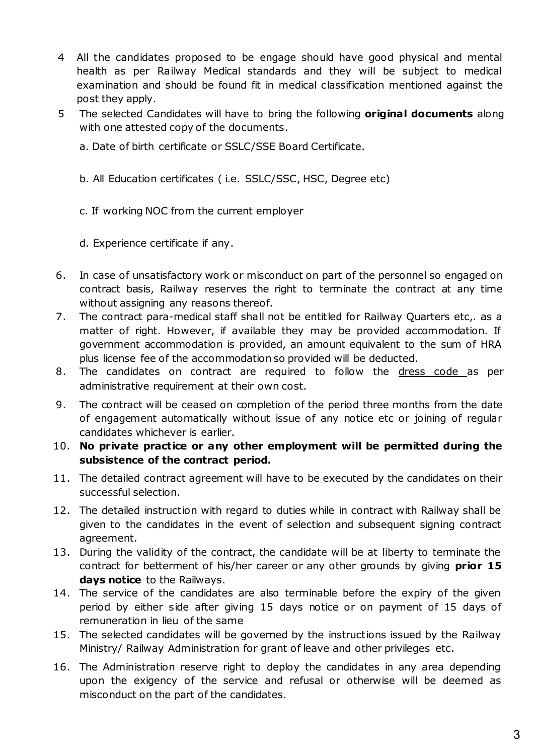- 4 All the candidates proposed to be engage should have good physical and mental health as per Railway Medical standards and they will be subject to medical examination and should be found fit in medical classification mentioned against the post they apply.
- 5 The selected Candidates will have to bring the following **original documents** along with one attested copy of the documents.

a. Date of birth certificate or SSLC/SSE Board Certificate.

- b. All Education certificates (i.e. SSLC/SSC, HSC, Degree etc)
- c. If working NOC from the current employer
- d. Experience certificate if any.
- $6.$ In case of unsatisfactory work or misconduct on part of the personnel so engaged on contract basis, Railway reserves the right to terminate the contract at any time without assigning any reasons thereof.
- $7.$ The contract para-medical staff shall not be entitled for Railway Quarters etc,. as a matter of right. However, if available they may be provided accommodation. If government accommodation is provided, an amount equivalent to the sum of HRA plus license fee of the accommodation so provided will be deducted.
- The candidates on contract are required to follow the dress code as per 8. administrative requirement at their own cost.
- The contract will be ceased on completion of the period three months from the date 9. of engagement automatically without issue of any notice etc or joining of regular candidates whichever is earlier.
- 10. No private practice or any other employment will be permitted during the subsistence of the contract period.
- 11. The detailed contract agreement will have to be executed by the candidates on their successful selection.
- 12. The detailed instruction with regard to duties while in contract with Railway shall be given to the candidates in the event of selection and subsequent signing contract agreement.
- 13. During the validity of the contract, the candidate will be at liberty to terminate the contract for betterment of his/her career or any other grounds by giving prior 15 days notice to the Railways.
- 14. The service of the candidates are also terminable before the expiry of the given period by either side after giving 15 days notice or on payment of 15 days of remuneration in lieu of the same
- 15. The selected candidates will be governed by the instructions issued by the Railway Ministry/ Railway Administration for grant of leave and other privileges etc.
- 16. The Administration reserve right to deploy the candidates in any area depending upon the exigency of the service and refusal or otherwise will be deemed as misconduct on the part of the candidates.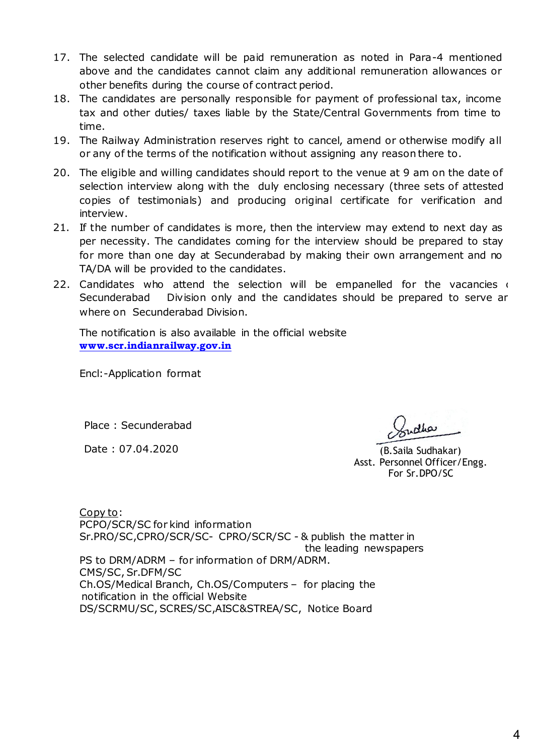- 17. The selected candidate will be paid remuneration as noted in Para-4 mentioned above and the candidates cannot claim any additional remuneration allowances or other benefits during the course of contract period.
- 18. The candidates are personally responsible for payment of professional tax, income tax and other duties/ taxes liable by the State/Central Governments from time to time.
- 19. The Railway Administration reserves right to cancel, amend or otherwise modify all or any of the terms of the notification without assigning any reason there to.
- 20. The eligible and willing candidates should report to the venue at 9 am on the date of selection interview along with the duly enclosing necessary (three sets of attested copies of testimonials) and producing original certificate for verification and interview.
- 21. If the number of candidates is more, then the interview may extend to next day as per necessity. The candidates coming for the interview should be prepared to stay for more than one day at Secunderabad by making their own arrangement and no TA/DA will be provided to the candidates.
- 22. Candidates who attend the selection will be empanelled for the vacancies Division only and the candidates should be prepared to serve ar Secunderabad where on Secunderabad Division.

The notification is also available in the official website www.scr.indianrailway.gov.in

Encl:-Application format

Place: Secunderabad

Date: 07.04.2020

 $d$ ha

(B. Saila Sudhakar) Asst. Personnel Officer/Engg. For Sr.DPO/SC

Copy to: PCPO/SCR/SC for kind information Sr.PRO/SC,CPRO/SCR/SC- CPRO/SCR/SC - & publish the matter in the leading newspapers PS to DRM/ADRM - for information of DRM/ADRM. CMS/SC, Sr.DFM/SC Ch.OS/Medical Branch, Ch.OS/Computers - for placing the notification in the official Website DS/SCRMU/SC, SCRES/SC, AISC&STREA/SC, Notice Board